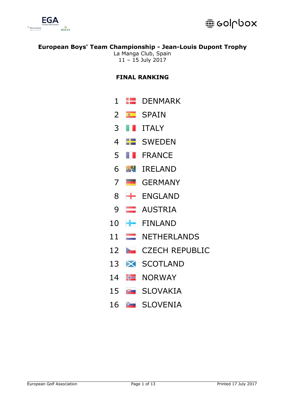



La Manga Club, Spain – 15 July 2017

# **FINAL RANKING**

- DENMARK
- **B** SPAIN
- **ITALY**
- **B** SWEDEN
- **FRANCE**
- IRELAND
- GERMANY
- **H** ENGLAND
- **AUSTRIA**
- FINLAND
- 11 NETHERLANDS
- 12 CZECH REPUBLIC
- **X** SCOTLAND
- $H$  NORWAY
- **B** SLOVAKIA
- **SLOVENIA**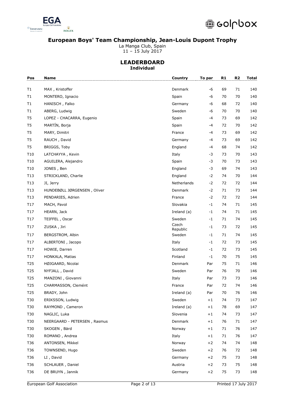

La Manga Club, Spain

11 – 15 July 2017

### **LEADERBOARD Individual**

| Pos             | <b>Name</b>                  | Country           | To par | R <sub>1</sub> | R <sub>2</sub> | <b>Total</b> |
|-----------------|------------------------------|-------------------|--------|----------------|----------------|--------------|
| T1              | MAX, Kristoffer              | Denmark           | -6     | 69             | 71             | 140          |
| T1              | MONTERO, Ignacio             | Spain             | -6     | 70             | 70             | 140          |
| T1              | HANISCH, Falko               | Germany           | -6     | 68             | 72             | 140          |
| T1              | ABERG, Ludwig                | Sweden            | -6     | 70             | 70             | 140          |
| T <sub>5</sub>  | LOPEZ - CHACARRA, Eugenio    | Spain             | -4     | 73             | 69             | 142          |
| T <sub>5</sub>  | MARTÍN, Borja                | Spain             | -4     | 72             | 70             | 142          |
| T <sub>5</sub>  | MARY, Dimitri                | France            | -4     | 73             | 69             | 142          |
| T <sub>5</sub>  | RAUCH, David                 | Germany           | -4     | 73             | 69             | 142          |
| T <sub>5</sub>  | BRIGGS, Toby                 | England           | -4     | 68             | 74             | 142          |
| T <sub>10</sub> | LATCHAYYA, Kevin             | Italy             | -3     | 73             | 70             | 143          |
| T <sub>10</sub> | AGUILERA, Alejandro          | Spain             | -3     | 70             | 73             | 143          |
| T <sub>10</sub> | JONES, Ben                   | England           | -3     | 69             | 74             | 143          |
| T13             | STRICKLAND, Charlie          | England           | $-2$   | 74             | 70             | 144          |
| T13             | JI, Jerry                    | Netherlands       | $-2$   | 72             | 72             | 144          |
| T13             | HUNDEBØLL JØRGENSEN, Oliver  | Denmark           | $-2$   | 71             | 73             | 144          |
| T13             | PENDARIES, Adrien            | France            | $-2$   | 72             | 72             | 144          |
| T17             | MACH, Pavol                  | Slovakia          | $-1$   | 74             | 71             | 145          |
| T <sub>17</sub> | HEARN, Jack                  | Ireland (a)       | $-1$   | 74             | 71             | 145          |
| T17             | TEIFFEL, Oscar               | Sweden            | $-1$   | 71             | 74             | 145          |
| T17             | ZUSKA, Jiri                  | Czech<br>Republic | $-1$   | 73             | 72             | 145          |
| T17             | <b>BERGSTROM, Albin</b>      | Sweden            | $-1$   | 71             | 74             | 145          |
| T17             | ALBERTONI, Jacopo            | Italy             | $-1$   | 72             | 73             | 145          |
| T17             | HOWIE, Darren                | Scotland          | $-1$   | 72             | 73             | 145          |
| T17             | HONKALA, Matias              | Finland           | $-1$   | 70             | 75             | 145          |
| T25             | HØJGAARD, Nicolai            | Denmark           | Par    | 75             | 71             | 146          |
| T <sub>25</sub> | NYFJALL, David               | Sweden            | Par    | 76             | 70             | 146          |
| T <sub>25</sub> | MANZONI, Giovanni            | Italy             | Par    | 73             | 73             | 146          |
| T25             | CHARMASSON, Clemént          | France            | Par    | 72             | 74             | 146          |
| T25             | BRADY, John                  | Ireland (a)       | Par    | 70             | 76             | 146          |
| T30             | ERIKSSON, Ludwig             | Sweden            | $+1$   | 74             | 73             | 147          |
| T30             | RAYMOND, Cameron             | Ireland (a)       | $+1$   | 78             | 69             | 147          |
| T30             | NAGLIC, Luka                 | Slovenia          | $+1$   | 74             | 73             | 147          |
| T30             | NEERGAARD - PETERSEN, Rasmus | Denmark           | $+1$   | 76             | 71             | 147          |
| T30             | SKOGEN, Bärd                 | Norway            | $+1$   | 71             | 76             | 147          |
| T30             | ROMANO, Andrea               | Italy             | $+1$   | 71             | 76             | 147          |
| T36             | ANTONSEN, Mikkel             | Norway            | $+2$   | 74             | 74             | 148          |
| T36             | TOWNSEND, Hugo               | Sweden            | $+2$   | 76             | 72             | 148          |
| T36             | LI, David                    | Germany           | $+2$   | 75             | 73             | 148          |
| T36             | SCHLAUER, Daniel             | Austria           | $+2$   | 73             | 75             | 148          |
| T36             | DE BRUYN, Jannik             | Germany           | $+2$   | 75             | 73             | 148          |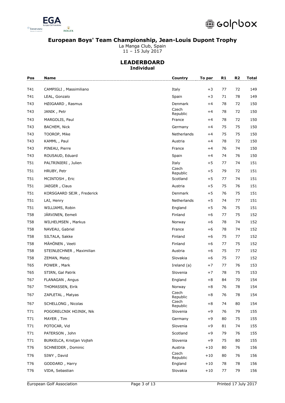

La Manga Club, Spain

11 – 15 July 2017

### **LEADERBOARD Individual**

| Pos             | <b>Name</b>               | Country                    | To par | R <sub>1</sub> | R <sub>2</sub> | <b>Total</b> |
|-----------------|---------------------------|----------------------------|--------|----------------|----------------|--------------|
| T41             | CAMPIGLI, Massimiliano    | Italy                      | $+3$   | 77             | 72             | 149          |
| T41             | LEAL, Gonzalo             | Spain                      | $+3$   | 71             | 78             | 149          |
| T43             | HØJGAARD, Rasmus          | Denmark                    | $+4$   | 78             | 72             | 150          |
| T43             | JANIK, Petr               | Czech<br>Republic          | $+4$   | 78             | 72             | 150          |
| T43             | MARGOLIS, Paul            | France                     | $+4$   | 78             | 72             | 150          |
| T43             | <b>BACHEM, Nick</b>       | Germany                    | $+4$   | 75             | 75             | 150          |
| T43             | TOOROP, Mike              | Netherlands                | $+4$   | 75             | 75             | 150          |
| T43             | KAMML, Paul               | Austria                    | $+4$   | 78             | 72             | 150          |
| T43             | PINEAU, Pierre            | France                     | $+4$   | 76             | 74             | 150          |
| T43             | ROUSAUD, Eduard           | Spain                      | $+4$   | 74             | 76             | 150          |
| T51             | PALTRINIERI, Julien       | Italy                      | $+5$   | 77             | 74             | 151          |
| T <sub>51</sub> | HRUBY, Petr               | Czech<br>Republic          | $+5$   | 79             | 72             | 151          |
| T <sub>51</sub> | MCINTOSH, Eric            | Scotland                   | $+5$   | 77             | 74             | 151          |
| T <sub>51</sub> | JAEGER, Claus             | Austria                    | $+5$   | 75             | 76             | 151          |
| T51             | KORSGAARD SEJR, Frederick | Denmark                    | $+5$   | 76             | 75             | 151          |
| T <sub>51</sub> | LAI, Henry                | Netherlands                | $+5$   | 74             | 77             | 151          |
| T51             | WILLIAMS, Robin           | England                    | $+5$   | 76             | 75             | 151          |
| <b>T58</b>      | JÄRVINEN, Eemeli          | Finland                    | $+6$   | 77             | 75             | 152          |
| <b>T58</b>      | WILHELMSEN, Markus        | Norway                     | $+6$   | 78             | 74             | 152          |
| <b>T58</b>      | NAVEAU, Gabriel           | France                     | $+6$   | 78             | 74             | 152          |
| <b>T58</b>      | SILTALA, Sakke            | Finland                    | $+6$   | 75             | 77             | 152          |
| <b>T58</b>      | MÄHÖNEN, Veeti            | Finland                    | $+6$   | 77             | 75             | 152          |
| <b>T58</b>      | STEINLECHNER, Maximilian  | Austria                    | $+6$   | 75             | 77             | 152          |
| <b>T58</b>      | ZEMAN, Matej              | Slovakia                   | $+6$   | 75             | 77             | 152          |
| T65             | POWER, Mark               | Ireland (a)                | $+7$   | 77             | 76             | 153          |
| T65             | STIRN, Gal Patrik         | Slovenia                   | $+7$   | 78             | 75             | 153          |
| T67             | FLANAGAN, Angus           | England                    | $+8$   | 84             | 70             | 154          |
| T67             | THOMASSEN, Eirik          | Norway                     | $+8$   | 76             | 78             | 154          |
| T67             | ZAPLETAL, Matyas          | Czech<br>Republic<br>Czech | $+8$   | 76             | 78             | 154          |
| T67             | SCHELLONG, Nicolas        | Republic                   | $+8$   | 74             | 80             | 154          |
| T71             | POGORELCNIK HOJNIK, Nik   | Slovenia                   | $+9$   | 76             | 79             | 155          |
| T71             | MAYER, Tim                | Germany                    | $+9$   | 80             | 75             | 155          |
| T71             | POTOCAR, Vid              | Slovenia                   | $+9$   | 81             | 74             | 155          |
| T71             | PATERSON, John            | Scotland                   | $+9$   | 79             | 76             | 155          |
| T71             | BURKELCA, Kristjan Vojteh | Slovenia                   | $+9$   | 75             | 80             | 155          |
| T76             | SCHNEIDER, Dominic        | Austria                    | $+10$  | 80             | 76             | 156          |
| T76             | SIWY, David               | Czech<br>Republic          | $+10$  | 80             | 76             | 156          |
| T76             | GODDARD, Harry            | England                    | $+10$  | 78             | 78             | 156          |
| T76             | VIDA, Sebastian           | Slovakia                   | $+10$  | 77             | 79             | 156          |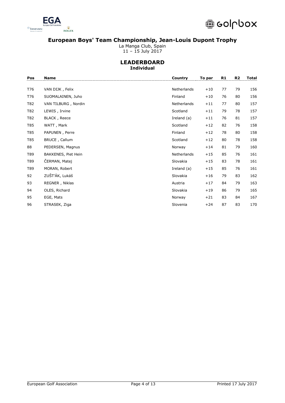

La Manga Club, Spain

11 – 15 July 2017

### **LEADERBOARD Individual**

| Pos | Country<br><b>Name</b> |             | To par | R <sub>1</sub> | R <sub>2</sub> | Total |
|-----|------------------------|-------------|--------|----------------|----------------|-------|
| T76 | VAN DIJK, Felix        | Netherlands | $+10$  | 77             | 79             | 156   |
| T76 | SUOMALAINEN, Juho      | Finland     | $+10$  | 76             | 80             | 156   |
| T82 | VAN TILBURG, Nordin    | Netherlands | $+11$  | 77             | 80             | 157   |
| T82 | LEWIS, Irvine          | Scotland    | $+11$  | 79             | 78             | 157   |
| T82 | BLACK, Reece           | Ireland (a) | $+11$  | 76             | 81             | 157   |
| T85 | WATT, Mark             | Scotland    | $+12$  | 82             | 76             | 158   |
| T85 | PAPUNEN, Perre         | Finland     | $+12$  | 78             | 80             | 158   |
| T85 | BRUCE, Callum          | Scotland    | $+12$  | 80             | 78             | 158   |
| 88  | PEDERSEN, Magnus       | Norway      | $+14$  | 81             | 79             | 160   |
| T89 | BAKKENES, Piet Hein    | Netherlands | $+15$  | 85             | 76             | 161   |
| T89 | ČERMAN, Matej          | Slovakia    | $+15$  | 83             | 78             | 161   |
| T89 | MORAN, Robert          | Ireland (a) | $+15$  | 85             | 76             | 161   |
| 92  | ZUŠT'ÁK, Lukáš         | Slovakia    | $+16$  | 79             | 83             | 162   |
| 93  | REGNER, Niklas         | Austria     | $+17$  | 84             | 79             | 163   |
| 94  | OLES, Richard          | Slovakia    | $+19$  | 86             | 79             | 165   |
| 95  | EGE, Mats              | Norway      | $+21$  | 83             | 84             | 167   |
| 96  | STRASEK, Ziga          | Slovenia    | $+24$  | 87             | 83             | 170   |
|     |                        |             |        |                |                |       |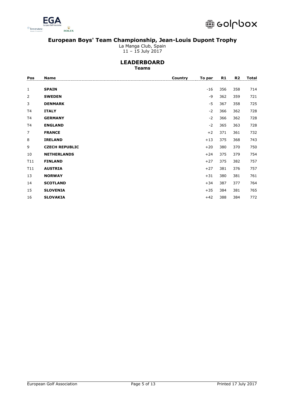

La Manga Club, Spain

11 – 15 July 2017

### **LEADERBOARD Teams**

| <b>Name</b>           | Country | To par | R1  | R <sub>2</sub> | <b>Total</b> |
|-----------------------|---------|--------|-----|----------------|--------------|
|                       |         |        |     |                |              |
| <b>SPAIN</b>          |         | $-16$  | 356 | 358            | 714          |
| <b>SWEDEN</b>         |         | -9     | 362 | 359            | 721          |
| <b>DENMARK</b>        |         | $-5$   | 367 | 358            | 725          |
| <b>ITALY</b>          |         | $-2$   | 366 | 362            | 728          |
| <b>GERMANY</b>        |         | $-2$   | 366 | 362            | 728          |
| <b>ENGLAND</b>        |         | $-2$   | 365 | 363            | 728          |
| <b>FRANCE</b>         |         | $+2$   | 371 | 361            | 732          |
| <b>IRELAND</b>        |         | $+13$  | 375 | 368            | 743          |
| <b>CZECH REPUBLIC</b> |         | $+20$  | 380 | 370            | 750          |
| <b>NETHERLANDS</b>    |         | $+24$  | 375 | 379            | 754          |
| <b>FINLAND</b>        |         | $+27$  | 375 | 382            | 757          |
| <b>AUSTRIA</b>        |         | $+27$  | 381 | 376            | 757          |
| <b>NORWAY</b>         |         | $+31$  | 380 | 381            | 761          |
| <b>SCOTLAND</b>       |         | $+34$  | 387 | 377            | 764          |
| <b>SLOVENIA</b>       |         | $+35$  | 384 | 381            | 765          |
| <b>SLOVAKIA</b>       |         | $+42$  | 388 | 384            | 772          |
|                       |         |        |     |                |              |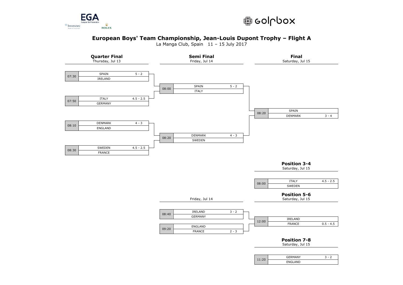



La Manga Club, Spain 11 – 15 July 2017

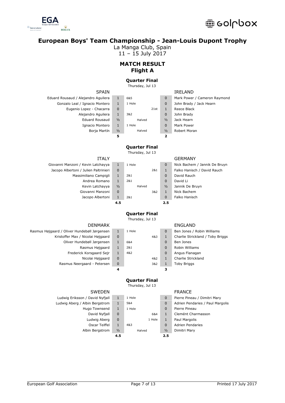

La Manga Club, Spain

11 – 15 July 2017

# **MATCH RESULT Flight A**

### **Quarter Final**

Thursday, Jul 13

# Eduard Rousaud / Alejandro Aguilera 1

| Gonzalo Leal / Ignacio Montero |               | 1 Hole | 0             | John Brady / Jack Hearn |
|--------------------------------|---------------|--------|---------------|-------------------------|
| Eugenio Lopez - Chacarra       | 0             | 21st   |               | Reece Black             |
| Alejandro Aguilera             |               | 3&2    | 0             | John Brady              |
| <b>Eduard Rousaud</b>          | $\frac{1}{2}$ | Halved | $\frac{1}{2}$ | Jack Hearn              |
| Ignacio Montero                |               | 1 Hole | 0             | Mark Power              |
| Borja Martín                   | $\frac{1}{2}$ | Halved | $\frac{1}{2}$ | Robert Moran            |

| <b>SPAIN</b>       |               |        |      |               | <b>IRELAND</b> |
|--------------------|---------------|--------|------|---------------|----------------|
| Alejandro Aguilera | 1             | 6&5    |      | $\Omega$      | Mark Power /   |
| / Ignacio Montero  | $\mathbf{1}$  | 1 Hole |      | $\Omega$      | John Brady /   |
| o Lopez - Chacarra | $\Omega$      |        | 21st | $\mathbf{1}$  | Reece Black    |
| Alejandro Aguilera | $\mathbf{1}$  | 382    |      | $\Omega$      | John Brady     |
| Eduard Rousaud     | $\frac{1}{2}$ | Halved |      | $\frac{1}{2}$ | Jack Hearn     |
| Ignacio Montero    | $\mathbf{1}$  | 1 Hole |      | $\Omega$      | Mark Power     |
| Borja Martín       | $\frac{1}{2}$ | Halved |      | $\frac{1}{2}$ | Robert Moran   |
|                    | 5             |        |      | 2             |                |

| Mark Power / Cameron Raymond |
|------------------------------|
| John Brady / Jack Hearn      |
| Reece Black                  |
| John Brady                   |
| Jack Hearn                   |
| Mark Power                   |
| Robert Moran                 |
|                              |
|                              |

# **Quarter Final**

Thursday, Jul 13

|                                       | 4.5           |        |     | 2.5           |                             |
|---------------------------------------|---------------|--------|-----|---------------|-----------------------------|
| Jacopo Albertoni                      |               | 2&1    |     | 0             | Falko Hanisch               |
| Giovanni Manzoni                      | 0             |        | 3&2 |               | Nick Bachem                 |
| Kevin Latchayya                       | $\frac{1}{2}$ | Halved |     | $\frac{1}{2}$ | Jannik De Bruyn             |
| Andrea Romano                         |               | 2&1    |     | 0             | David Li                    |
| Massimiliano Campigli                 |               | 2&1    |     | 0             | David Rauch                 |
| Jacopo Albertoni / Julien Paltrinieri | $\mathbf 0$   |        | 2&1 |               | Falko Hanisch / David Rauch |
| Giovanni Manzoni / Kevin Latchayya    |               | 1 Hole |     | U             | Nick Bachem / Jannik De Bri |

| oni / Kevin Latchayya     | 1             | 1 Hole |     | $\Omega$      | Nick Bachem / J      |
|---------------------------|---------------|--------|-----|---------------|----------------------|
| toni / Julien Paltrinieri | 0             |        | 2&1 | 1             | Falko Hanisch /      |
| Massimiliano Campigli     | 1             | 2&1    |     | 0             | David Rauch          |
| Andrea Romano             | 1             | 2&1    |     | $\Omega$      | David Li             |
| Kevin Latchayya           | $\frac{1}{2}$ | Halved |     | $\frac{1}{2}$ | Jannik De Bruyn      |
| Giovanni Manzoni          | 0             |        | 3&2 | 1             | Nick Bachem          |
| Jacono Albertoni          |               | 281    |     |               | <b>Falko Hanisch</b> |

### ITALY GERMANY

| Giovanni Manzoni / Kevin Latchayya    | 1             | 1 Hole |     | $\mathbf 0$   | Nick Bachem / Jannik De Bruyn |
|---------------------------------------|---------------|--------|-----|---------------|-------------------------------|
| Jacopo Albertoni / Julien Paltrinieri | $\mathbf 0$   |        | 2&1 | 1             | Falko Hanisch / David Rauch   |
| Massimiliano Campigli                 | 1             | 2&1    |     | $\mathbf{0}$  | David Rauch                   |
| Andrea Romano                         | 1             | 2&1    |     | $\mathbf 0$   | David Li                      |
| Kevin Latchayya                       | $\frac{1}{2}$ | Halved |     | $\frac{1}{2}$ | Jannik De Bruyn               |
| Giovanni Manzoni                      | $\mathbf 0$   |        | 3&2 | 1             | Nick Bachem                   |
| Jacopo Albertoni                      | 1             | 2&1    |     | $\mathbf 0$   | Falko Hanisch                 |
|                                       | 4.5           |        |     | 2.5           |                               |
|                                       |               |        |     |               |                               |

### **Quarter Final** Thursday, Jul 13

### Rasmus Højgaard / Oliver Hundebøll Jørgensen 1 Kristoffer Max / Nicolai Højgaard 0 Oliver Hundebøll Jørgensen 1 Rasmus Højgaard 1 Frederick Korsgaard Sejr 1 Nicolai Højgaard 0 Rasmus Neergaard - Petersen 3

| <b>DENMARK</b> |              |        |     |              | <b>ENGLAND</b> |
|----------------|--------------|--------|-----|--------------|----------------|
| øll Jørgensen  | $\mathbf{1}$ | 1 Hole |     | $\mathbf 0$  | Ben Jones /    |
| olai Højgaard: | $\mathbf 0$  |        | 4&3 | $\mathbf{1}$ | Charlie Stricl |
| øll Jørgensen  | 1            | 6&4    |     | $\mathbf 0$  | Ben Jones      |
| nus Højgaard   | $\mathbf{1}$ | 2&1    |     | $\mathbf 0$  | Robin Willian  |
| orsgaard Sejr  | $\mathbf{1}$ | 4&2    |     | $\mathbf 0$  | Angus Flana    |
| olai Højgaard: | $\mathbf 0$  |        | 4&2 | $\mathbf{1}$ | Charlie Stricl |
| ırd - Petersen | $\mathbf 0$  |        | 3&2 | $\mathbf{1}$ | Toby Briggs    |
|                |              |        |     | з            |                |

| Ben Jones / Robin Williams       |
|----------------------------------|
| Charlie Strickland / Toby Briggs |
| Ben Jones                        |
| Robin Williams                   |
| Angus Flanagan                   |
| Charlie Strickland               |
| <b>Toby Briggs</b>               |
|                                  |

# **Quarter Final**

Thursday, Jul 13

- 
- 
- 
- 
- 
- 

### **4.5 2.5**

- SWEDEN FRANCE
- Ludwig Eriksson / David Nyfjall 1 1 1 Hole 0 Pierre Pineau / Dimitri Mary Ludwig Aberg / Albin Bergstrom 1 5&4 0 Adrien Pendaries / Paul Margolis Hugo Townsend 1 1 Hole 1 0 Pierre Pineau David Nyfjall 0 1 6&4 1 Clemént Charmasson Ludwig Aberg 0 1 Hole 1 Paul Margolis Oscar Teiffel 1 4&3 0 Adrien Pendaries Albin Bergstrom ½ Halved ½ Dimitri Mary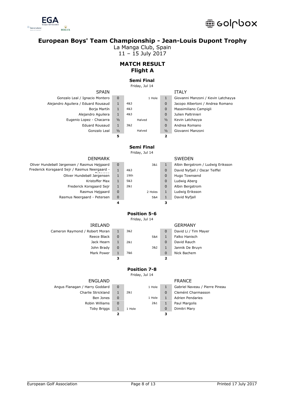

La Manga Club, Spain

11 – 15 July 2017

# **MATCH RESULT Flight A**

### **Semi Final**

Friday, Jul 14

SPAIN

| <b>SPAIN</b>                        |               |        |               | <b>ITALY</b>                       |
|-------------------------------------|---------------|--------|---------------|------------------------------------|
| Gonzalo Leal / Ignacio Montero      | 0             | 1 Hole |               | Giovanni Manzoni / Kevin Latchayya |
| Alejandro Aquilera / Eduard Rousaud | 1             | 4&3    | 0             | Jacopo Albertoni / Andrea Romano   |
| Borja Martín                        | 1             | 4&3    | 0             | Massimiliano Campigli              |
| Alejandro Aguilera                  | 1             | 4&3    | 0             | Julien Paltrinieri                 |
| Eugenio Lopez - Chacarra            | $\frac{1}{2}$ | Halved | $\frac{1}{2}$ | Kevin Latchayya                    |
| <b>Eduard Rousaud</b>               | 1             | 3&2    | 0             | Andrea Romano                      |
| Gonzalo Leal                        | $\frac{1}{2}$ | Halved | $\frac{1}{2}$ | Giovanni Manzoni                   |
|                                     | 5             |        |               |                                    |
|                                     |               |        |               |                                    |

# **Semi Final**

Friday, Jul 14

| PLIVILAIN                                     |             |         |              | <b>JWLDLIV</b>                    |
|-----------------------------------------------|-------------|---------|--------------|-----------------------------------|
| Oliver Hundebøll Jørgensen / Rasmus Højgaard  | 0           | 3&1     | 1            | Albin Bergstrom / Ludwig Eriksson |
| Frederick Korsgaard Sejr / Rasmus Neergaard - |             | 4&3     | $\mathbf{0}$ | David Nyfjall / Oscar Teiffel     |
| Oliver Hundebøll Jørgensen                    |             | 19th    | $\mathbf{0}$ | Hugo Townsend                     |
| Kristoffer Max                                |             | 5&3     | $\mathbf{0}$ | Ludwig Aberg                      |
| Frederick Korsgaard Sejr                      |             | 2&1     | $\mathbf{0}$ | Albin Bergstrom                   |
| Rasmus Højgaard                               | 0           | 2 Holes | 1            | Ludwig Eriksson                   |
| Rasmus Neergaard - Petersen                   | $\mathbf 0$ | 5&4     |              | David Nyfjall                     |

| <b>DENMARK</b>           |             |      |         |          | <b>SWEDEN</b>     |
|--------------------------|-------------|------|---------|----------|-------------------|
| nsen / Rasmus Højgaard   | $\mathbf 0$ |      | 3&1     |          | Albin Bergstrom   |
| ejr / Rasmus Neergaard - | 1           | 4&3  |         | $\Omega$ | David Nyfiall / C |
| ver Hundebøll Jørgensen  | 1           | 19th |         | $\Omega$ | Hugo Townsend     |
| Kristoffer Max           | 1           | 5&3  |         | $\Omega$ | Ludwig Aberg      |
| Frederick Korsgaard Sejr | 1           | 2&1  |         | $\Omega$ | Albin Bergstrom   |
| Rasmus Højgaard          | $\mathbf 0$ |      | 2 Holes | 1        | Ludwig Eriksson   |
| us Neergaard - Petersen  | $\mathbf 0$ |      | 5&4     | 1        | David Nyfjall     |
|                          |             |      |         |          |                   |

| $\Omega$     | 3&1     | 1            | Albin Bergstrom / Ludwig Eriksson |
|--------------|---------|--------------|-----------------------------------|
| $\mathbf{1}$ | 4&3     | 0            | David Nyfjall / Oscar Teiffel     |
| $\mathbf{1}$ | 19th    | 0            | Hugo Townsend                     |
| $\mathbf{1}$ | 5&3     | 0            | Ludwig Aberg                      |
| $\mathbf{1}$ | 2&1     | 0            | Albin Bergstrom                   |
| 0            | 2 Holes | 1            | Ludwig Eriksson                   |
| $\Omega$     | 5&4     | $\mathbf{1}$ | David Nyfjall                     |
| 4            |         |              |                                   |

### **Position 5-6** Friday, Jul 14

### IRELAND GERMANY

Cameron Raymond / Robert Moran 1 3&2 0 David Li / Tim Mayer Reece Black 0 5&4 1 Falko Hanisch Jack Hearn 1 2&1 0 David Rauch John Brady 0 3&2 1 Jannik De Bruyn Mark Power 1 7&6 0 Nick Bachem

| <b>ENGLAND</b>                 |   |        |        |   | <b>FRANCE</b>                  |
|--------------------------------|---|--------|--------|---|--------------------------------|
| Angus Flanagan / Harry Goddard | 0 |        | 1 Hole |   | Gabriel Naveau / Pierre Pineau |
| Charlie Strickland             |   | 2&1    |        | 0 | Clemént Charmasson             |
| Ben Jones                      | 0 |        | 1 Hole | 1 | <b>Adrien Pendaries</b>        |
| Robin Williams                 | 0 |        | 2&1    | 1 | Paul Margolis                  |
| <b>Toby Briggs</b>             |   | 1 Hole |        | 0 | Dimitri Mary                   |
|                                |   |        |        | з |                                |
|                                |   |        |        |   |                                |

**3 2**

**Position 7-8** Friday, Jul 14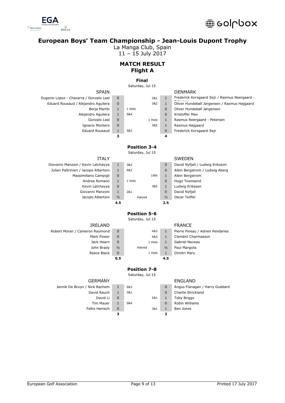



La Manga Club, Spain

11 – 15 July 2017

# **MATCH RESULT Flight A**

### **Final**

Saturday, Jul 15

| <b>JEAU</b>                             |   |
|-----------------------------------------|---|
| Eugenio Lopez - Chacarra / Gonzalo Leal | C |
| Eduard Rousaud / Alejandro Aguilera     | C |
| Borja Martín                            | 1 |
| Alejandro Aguilera                      | 1 |
| Gonzalo Leal                            | C |
| Ignacio Montero                         | C |
| <b>Eduard Rousaud</b>                   | 1 |
|                                         |   |

| <b>SPAIN</b>          |              |        |        |              | <b>DENMARK</b>    |
|-----------------------|--------------|--------|--------|--------------|-------------------|
| irra / Gonzalo Leal   | $\Omega$     |        | 3&1    | $\mathbf{1}$ | Frederick Korsgaa |
| Alejandro Aguilera    | $\Omega$     |        | 3&2    | 1            | Oliver Hundebøll  |
| Borja Martín          | $\mathbf{1}$ | 1 Hole |        | 0            | Oliver Hundebøll  |
| Alejandro Aguilera    | $\mathbf{1}$ | 5&4    |        | $\mathbf 0$  | Kristoffer Max    |
| Gonzalo Leal          | $\Omega$     |        | 1 Hole | 1            | Rasmus Neergaar   |
| Ignacio Montero       | $\Omega$     |        | 3&2    | 1            | Rasmus Højgaard   |
| <b>Eduard Rousaud</b> | $\mathbf{1}$ | 3&2    |        | 0            | Frederick Korsgaa |
|                       |              |        |        |              |                   |

| Eugenio Lopez - Chacarra / Gonzalo Leal | $\Omega$ | 3&1    |   | Frederick Korsgaard Sejr / Rasmus Neergaard - |
|-----------------------------------------|----------|--------|---|-----------------------------------------------|
| Eduard Rousaud / Alejandro Aquilera     | $\Omega$ | 3&2    |   | Oliver Hundebøll Jørgensen / Rasmus Højgaard  |
| Borja Martín                            |          | 1 Hole | 0 | Oliver Hundebøll Jørgensen                    |
| Alejandro Aguilera                      |          | 5&4    | 0 | Kristoffer Max                                |
| Gonzalo Leal                            | $\Omega$ | 1 Hole |   | Rasmus Neergaard - Petersen                   |
| Ignacio Montero                         | $\Omega$ | 3&2    |   | Rasmus Højgaard                               |
| <b>Eduard Rousaud</b>                   |          | 3&2    | 0 | Frederick Korsgaard Sejr                      |
|                                         |          |        | 4 |                                               |

# **Position 3-4**

Saturday, Jul 15

Giovanni Manzoni / Kevin Latchayya 1 Julien Paltrinieri / Jacopo Albertoni 1 Massimiliano Campigli 0 Andrea Romano 1 Kevin Latchayya 0 Giovanni Manzoni 1 Jacopo Albertoni 1/2

| <b>ITALY</b> |               |        |      |               | <b>SWEDEN</b> |
|--------------|---------------|--------|------|---------------|---------------|
| tchayya      | $\mathbf{1}$  | 3&2    |      | $\mathbf 0$   | David Nyfja   |
| lbertoni     | 1             | 4&2    |      | 0             | Albin Bergs   |
| Campigli     | 0             |        | 19th | 1             | Albin Bergst  |
| Romano       | 1             | 1 Hole |      | $\mathbf 0$   | Hugo Towns    |
| tchayya      | $\mathbf 0$   |        | 3&2  | $\mathbf{1}$  | Ludwig Erik   |
| Manzoni      | $\mathbf{1}$  | 2&1    |      | $\mathbf 0$   | David Nyfja   |
| lbertoni     | $\frac{1}{2}$ | Halved |      | $\frac{1}{2}$ | Oscar Teiffe  |
|              | 4.5           |        |      | 2.5           |               |

| David Nyfjall / Ludwig Eriksson |
|---------------------------------|
| Albin Bergstrom / Ludwig Aberg  |
| Albin Bergstrom                 |
| Hugo Townsend                   |
| Ludwig Eriksson                 |
| David Nyfjall                   |
| Oscar Teiffel                   |
|                                 |

### **Position 5-6** Saturday, Jul 15

Reece Black 0 1 Hole 1 Dimitri Mary

|                | 0.5           |        | 4.5           |                 |
|----------------|---------------|--------|---------------|-----------------|
| Reece Black    | 0             | 1 Hole | 1             | Dimitri Mary    |
| John Brady     | $\frac{1}{2}$ | Halved | $\frac{1}{2}$ | Paul Margolis   |
| Jack Hearn     | 0             | 1 Hole | $\mathbf{1}$  | Gabriel Naveau  |
| Mark Power     | 0             | 4&3    | 1             | Clemént Charm   |
| on Raymond     | 0             | 4&3    | 1             | Pierre Pineau / |
| <b>IRELAND</b> |               |        |               | <b>FRANCE</b>   |

**Position 7-8** Saturday, Jul 15

Robert Moran / Cameron Raymond 0 4&3 1 Pierre Pineau / Adrien Pendaries Mark Power 0 1 4&3 1 Clemént Charmasson

### GERMANY FNGI AND

Falko Hanisch 0 381 1 Ben Jones

Jannik De Bruyn / Nick Bachem 1 5&3 0 Angus Flanagan / Harry Goddard David Rauch 1 3&1 0 Charlie Strickland David Li 0 2&1 1 Toby Briggs Tim Mayer 1 5&4 0 Robin Williams **3 2**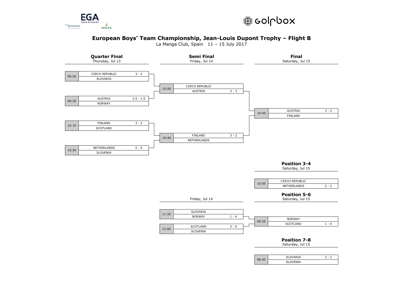



La Manga Club, Spain 11 – 15 July 2017

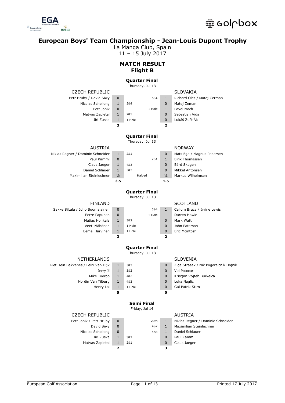

La Manga Club, Spain

11 – 15 July 2017

# **MATCH RESULT Flight B**

### **Quarter Final**

Thursday, Jul 13

| <b>CZECH REPUBLIC</b>               |                |                      |                | <b>SLOVAKIA</b>                       |
|-------------------------------------|----------------|----------------------|----------------|---------------------------------------|
| Petr Hruby / David Siwy             | 0              | 6&4                  | $\mathbf{1}$   | Richard Oles / Matej Čerman           |
| Nicolas Schellong                   | $\mathbf{1}$   | 5&4                  | 0              | Matej Zeman                           |
| Petr Janik                          | $\mathbf 0$    | 1 Hole               | $\mathbf{1}$   | Pavol Mach                            |
| Matyas Zapletal                     | $\mathbf{1}$   | 7&5                  | 0              | Sebastian Vida                        |
| Jiri Zuska                          | $\mathbf{1}$   | 1 Hole               | $\mathbf{0}$   | Lukáš ZušťÁk                          |
|                                     | з              |                      | 2              |                                       |
|                                     |                | <b>Quarter Final</b> |                |                                       |
|                                     |                | Thursday, Jul 13     |                |                                       |
| <b>AUSTRIA</b>                      |                |                      |                | <b>NORWAY</b>                         |
| Niklas Regner / Dominic Schneider   | $\mathbf{1}$   | 2&1                  | 0              | Mats Ege / Magnus Pedersen            |
| Paul Kamml                          | $\Omega$       | 2&1                  | $\mathbf{1}$   | Eirik Thomassen                       |
| Claus Jaeger                        | $\mathbf{1}$   | 4&3                  | $\overline{0}$ | Bärd Skogen                           |
| Daniel Schlauer                     | $\mathbf{1}$   | 5&3                  | $\overline{0}$ | Mikkel Antonsen                       |
| Maximilian Steinlechner             | $\frac{1}{2}$  | Halved               | $\frac{1}{2}$  | Markus Wilhelmsen                     |
|                                     | 3.5            |                      | 1.5            |                                       |
|                                     |                | <b>Quarter Final</b> |                |                                       |
|                                     |                | Thursday, Jul 13     |                |                                       |
| <b>FINLAND</b>                      |                |                      |                | <b>SCOTLAND</b>                       |
| Sakke Siltala / Juho Suomalainen    | 0              | 5&4                  | $\mathbf{1}$   | Callum Bruce / Irvine Lewis           |
| Perre Papunen                       | $\overline{0}$ | 1 Hole               | $\mathbf{1}$   | Darren Howie                          |
| Matias Honkala                      | $\mathbf{1}$   | 3&2                  | $\mathbf{0}$   | Mark Watt                             |
| Veeti Mähönen                       | $\mathbf{1}$   | 1 Hole               | 0              | John Paterson                         |
| Eemeli Järvinen                     | $\mathbf{1}$   | 1 Hole               | 0              | Eric Mcintosh                         |
|                                     | з              |                      | 2              |                                       |
|                                     |                | <b>Quarter Final</b> |                |                                       |
|                                     |                | Thursday, Jul 13     |                |                                       |
| <b>NETHERLANDS</b>                  |                |                      |                | <b>SLOVENIA</b>                       |
| Piet Hein Bakkenes / Felix Van Dijk | $\mathbf{1}$   | 5&3                  | 0              | Ziga Strasek / Nik Pogorelcnik Hojnik |
| Jerry Ji                            | $\mathbf{1}$   | 3&2                  | 0              | Vid Potocar                           |
| Mike Toorop                         | $\mathbf{1}$   | 4&2                  | 0              | Kristjan Vojteh Burkelca              |
| Nordin Van Tilburg                  | $\mathbf{1}$   | 4&3                  | 0              | Luka Naglic                           |
| Henry Lai                           | 1              | 1 Hole               | $\mathbf{0}$   | Gal Patrik Stirn                      |

| n | Vid Potoc  |
|---|------------|
| n | Kristjan \ |
| n | Luka Nac   |
| n | Gal Patril |

### CZECH REPUBLIC AUSTRIA

| Petr Janik / Petr Hruby | $\mathbf 0$              | 20th |                          | Niklas Regner / |
|-------------------------|--------------------------|------|--------------------------|-----------------|
| David Siwy              | $\Omega$                 | 4&2  |                          | Maximilian Stei |
| Nicolas Schellong       | $\Omega$                 | 5&3  |                          | Daniel Schlauer |
| Jiri Zuska              |                          | 3&2  |                          | Paul Kamml      |
| Matyas Zapletal         |                          | 2&1  |                          | Claus Jaeger    |
|                         | $\overline{\phantom{0}}$ |      | $\overline{\phantom{0}}$ |                 |

**5 0**

**Semi Final** Friday, Jul 14

| $\overline{0}$ |     | 20th | 1 |
|----------------|-----|------|---|
| $\overline{0}$ |     | 4&2  | 1 |
| $\overline{0}$ |     | 5&3  | 1 |
| $\mathbf{1}$   | 3&2 |      | 0 |
| 1              | 2&1 |      | 0 |
| 2              |     |      | з |

| Petr Janik / Petr Hruby | 0        | 20th |          | Niklas Regner / Dominic Schneider |
|-------------------------|----------|------|----------|-----------------------------------|
| David Siwy              | $\Omega$ | 4&2  |          | Maximilian Steinlechner           |
| Nicolas Schellong       | 0        | 5&3  |          | Daniel Schlauer                   |
| Jiri Zuska              |          | 3&2  | $\Omega$ | Paul Kamml                        |
| Matyas Zapletal         |          | 2&1  | $\Omega$ | Claus Jaeger                      |
|                         |          |      |          |                                   |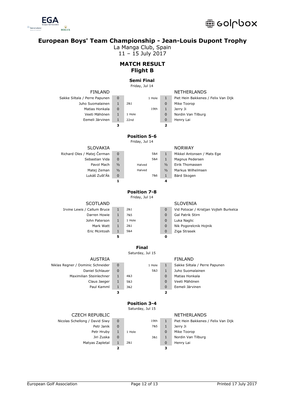

La Manga Club, Spain

11 – 15 July 2017

# **MATCH RESULT Flight B**

# **Semi Final**

|                                                      |                              | Friday, Jul 14      |      |                         |                                        |
|------------------------------------------------------|------------------------------|---------------------|------|-------------------------|----------------------------------------|
| <b>FINLAND</b>                                       |                              |                     |      |                         | <b>NETHERLANDS</b>                     |
| Sakke Siltala / Perre Papunen                        | 0                            | 1 Hole              |      | $\mathbf{1}$            | Piet Hein Bakkenes / Felix Van Dijk    |
| Juho Suomalainen                                     | $\mathbf{1}$                 | 2&1                 |      | 0                       | Mike Toorop                            |
| Matias Honkala                                       | 0                            |                     | 19th | $\mathbf{1}$            | Jerry Ji                               |
| Veeti Mähönen                                        | $\mathbf{1}$                 | 1 Hole              |      | 0                       | Nordin Van Tilburg                     |
| Eemeli Järvinen                                      | $\mathbf{1}$                 | 22nd                |      | 0                       | Henry Lai                              |
|                                                      | з                            |                     |      | 2                       |                                        |
|                                                      |                              | <b>Position 5-6</b> |      |                         |                                        |
|                                                      |                              | Friday, Jul 14      |      |                         |                                        |
| SLOVAKIA                                             |                              |                     |      |                         | <b>NORWAY</b>                          |
| Richard Oles / Matej Čerman                          | 0                            |                     | 5&4  | $\mathbf{1}$            | Mikkel Antonsen / Mats Ege             |
| Sebastian Vida                                       | $\mathbf{0}$                 |                     | 5&4  | $\mathbf{1}$            | Magnus Pedersen                        |
| Pavol Mach                                           | $\frac{1}{2}$                | Halved              |      | $\frac{1}{2}$           | Eirik Thomassen                        |
| Matej Zeman                                          | $\frac{1}{2}$                | Halved              |      | $\frac{1}{2}$           | Markus Wilhelmsen                      |
| Lukáš ZušťÁk                                         | 0                            |                     | 7&6  | $\mathbf{1}$            | Bärd Skogen                            |
|                                                      | 1                            |                     |      | 4                       |                                        |
|                                                      |                              | <b>Position 7-8</b> |      |                         |                                        |
|                                                      |                              | Friday, Jul 14      |      |                         |                                        |
| <b>SCOTLAND</b>                                      |                              |                     |      |                         | SLOVENIA                               |
| Irvine Lewis / Callum Bruce                          | $\mathbf{1}$                 | 2&1                 |      | 0                       | Vid Potocar / Kristjan Vojteh Burkelca |
| Darren Howie                                         | $\mathbf{1}$                 | 7&5                 |      | 0                       | Gal Patrik Stirn                       |
| John Paterson                                        | $\mathbf{1}$                 | 1 Hole              |      | 0                       | Luka Naglic                            |
| Mark Watt                                            | $\mathbf{1}$                 | 2&1                 |      | 0                       | Nik Pogorelcnik Hojnik                 |
| Eric Mcintosh                                        | $\mathbf{1}$                 | 5&4                 |      | $\mathbf{0}$            | Ziga Strasek                           |
|                                                      | 5                            |                     |      | 0                       |                                        |
|                                                      |                              | <b>Final</b>        |      |                         |                                        |
|                                                      |                              | Saturday, Jul 15    |      |                         |                                        |
| <b>AUSTRIA</b>                                       |                              |                     |      |                         | FINLAND                                |
|                                                      |                              |                     |      |                         |                                        |
| Niklas Regner / Dominic Schneider<br>Daniel Schlauer | 0                            | 1 Hole              |      | $\mathbf{1}$            | Sakke Siltala / Perre Papunen          |
| Maximilian Steinlechner                              | $\mathbf{0}$                 |                     | 5&3  | $\mathbf{1}$            | Juho Suomalainen                       |
|                                                      | $\mathbf{1}$                 | 4&3<br>5&3          |      | 0<br>0                  | Matias Honkala<br>Veeti Mähönen        |
| Claus Jaeger<br>Paul Kamml                           | $\mathbf{1}$<br>$\mathbf{1}$ | 3&2                 |      | 0                       | Eemeli Järvinen                        |
|                                                      | 3                            |                     |      | $\overline{\mathbf{2}}$ |                                        |
|                                                      |                              |                     |      |                         |                                        |
|                                                      |                              | <b>Position 3-4</b> |      |                         |                                        |
|                                                      |                              | Saturday, Jul 15    |      |                         |                                        |
| <b>CZECH REPUBLIC</b>                                |                              |                     |      |                         | <b>NETHERLANDS</b>                     |
| Nicolas Schellong / David Siwy                       | 0                            |                     | 19th | $\mathbf{1}$            | Piet Hein Bakkenes / Felix Van Dijk    |
| Petr Janik                                           | 0                            |                     | 7&5  | $\mathbf{1}$            | Jerry Ji                               |
| Petr Hruby                                           | $\mathbf{1}$                 | 1 Hole              |      | 0                       | Mike Toorop                            |
| Jiri Zuska                                           | 0                            |                     | 3&1  | $\mathbf{1}$            | Nordin Van Tilburg                     |
| Matyas Zapletal                                      | $\mathbf{1}$                 | 2&1                 |      | 0                       | Henry Lai                              |
|                                                      | 2                            |                     |      | з                       |                                        |

| licolas Schellong / David Siwy |
|--------------------------------|
| Petr Janik                     |
| Petr Hruby                     |
| Jiri Zuska                     |
| Matyas Zapletal                |
|                                |